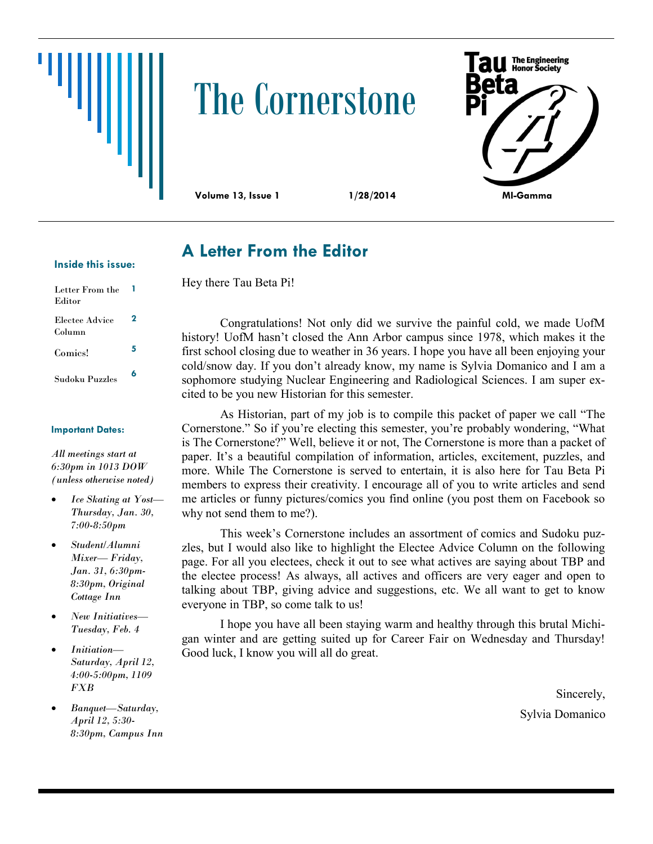# The Cornerstone



Hey there Tau Beta Pi!

**A Letter From the Editor**

### **Inside this issue:**

| Letter From the<br>Editor |   |
|---------------------------|---|
| Electee Advice<br>Column  | 2 |
| Comics!                   | 5 |
| Sudoku Puzzles            | 6 |

### **Important Dates:**

*All meetings start at 6:30pm in 1013 DOW (unless otherwise noted)*

- *Ice Skating at Yost— Thursday, Jan. 30, 7:00-8:50pm*
- *Student/Alumni Mixer— Friday, Jan. 31, 6:30pm-8:30pm, Original Cottage Inn*
- *New Initiatives— Tuesday, Feb. 4*
- *Initiation— Saturday, April 12, 4:00-5:00pm, 1109 FXB*
- *Banquet—Saturday, April 12, 5:30- 8:30pm, Campus Inn*

Congratulations! Not only did we survive the painful cold, we made UofM history! UofM hasn't closed the Ann Arbor campus since 1978, which makes it the first school closing due to weather in 36 years. I hope you have all been enjoying your cold/snow day. If you don't already know, my name is Sylvia Domanico and I am a sophomore studying Nuclear Engineering and Radiological Sciences. I am super excited to be you new Historian for this semester.

As Historian, part of my job is to compile this packet of paper we call "The Cornerstone." So if you're electing this semester, you're probably wondering, "What is The Cornerstone?" Well, believe it or not, The Cornerstone is more than a packet of paper. It's a beautiful compilation of information, articles, excitement, puzzles, and more. While The Cornerstone is served to entertain, it is also here for Tau Beta Pi members to express their creativity. I encourage all of you to write articles and send me articles or funny pictures/comics you find online (you post them on Facebook so why not send them to me?).

This week's Cornerstone includes an assortment of comics and Sudoku puzzles, but I would also like to highlight the Electee Advice Column on the following page. For all you electees, check it out to see what actives are saying about TBP and the electee process! As always, all actives and officers are very eager and open to talking about TBP, giving advice and suggestions, etc. We all want to get to know everyone in TBP, so come talk to us!

I hope you have all been staying warm and healthy through this brutal Michigan winter and are getting suited up for Career Fair on Wednesday and Thursday! Good luck, I know you will all do great.

> Sincerely, Sylvia Domanico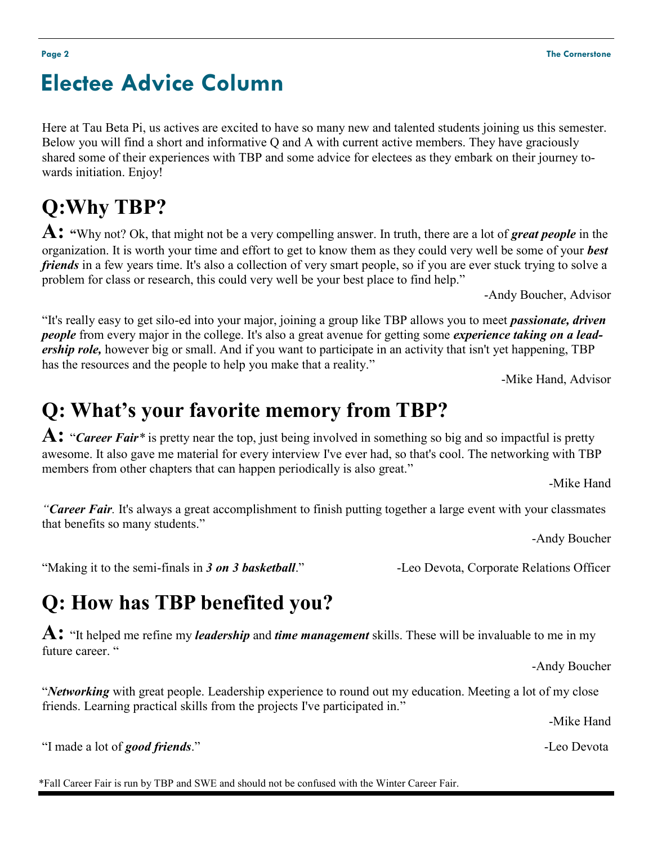# **Electee Advice Column**

Here at Tau Beta Pi, us actives are excited to have so many new and talented students joining us this semester. Below you will find a short and informative Q and A with current active members. They have graciously shared some of their experiences with TBP and some advice for electees as they embark on their journey towards initiation. Enjoy!

# **Q:Why TBP?**

**A: "**Why not? Ok, that might not be a very compelling answer. In truth, there are a lot of *great people* in the organization. It is worth your time and effort to get to know them as they could very well be some of your *best friends* in a few years time. It's also a collection of very smart people, so if you are ever stuck trying to solve a problem for class or research, this could very well be your best place to find help."

-Andy Boucher, Advisor

"It's really easy to get silo-ed into your major, joining a group like TBP allows you to meet *passionate, driven people* from every major in the college. It's also a great avenue for getting some *experience taking on a leadership role,* however big or small. And if you want to participate in an activity that isn't yet happening, TBP has the resources and the people to help you make that a reality."

-Mike Hand, Advisor

# **Q: What's your favorite memory from TBP?**

**A:** "*Career Fair\** is pretty near the top, just being involved in something so big and so impactful is pretty awesome. It also gave me material for every interview I've ever had, so that's cool. The networking with TBP members from other chapters that can happen periodically is also great."

-Mike Hand

*"Career Fair.* It's always a great accomplishment to finish putting together a large event with your classmates that benefits so many students."

-Andy Boucher

"Making it to the semi-finals in *3 on 3 basketball*." -Leo Devota, Corporate Relations Officer

# **Q: How has TBP benefited you?**

**A:** "It helped me refine my *leadership* and *time management* skills. These will be invaluable to me in my future career. "

-Andy Boucher

"*Networking* with great people. Leadership experience to round out my education. Meeting a lot of my close friends. Learning practical skills from the projects I've participated in."

-Mike Hand

"I made a lot of *good friends*." -Leo Devota

\*Fall Career Fair is run by TBP and SWE and should not be confused with the Winter Career Fair.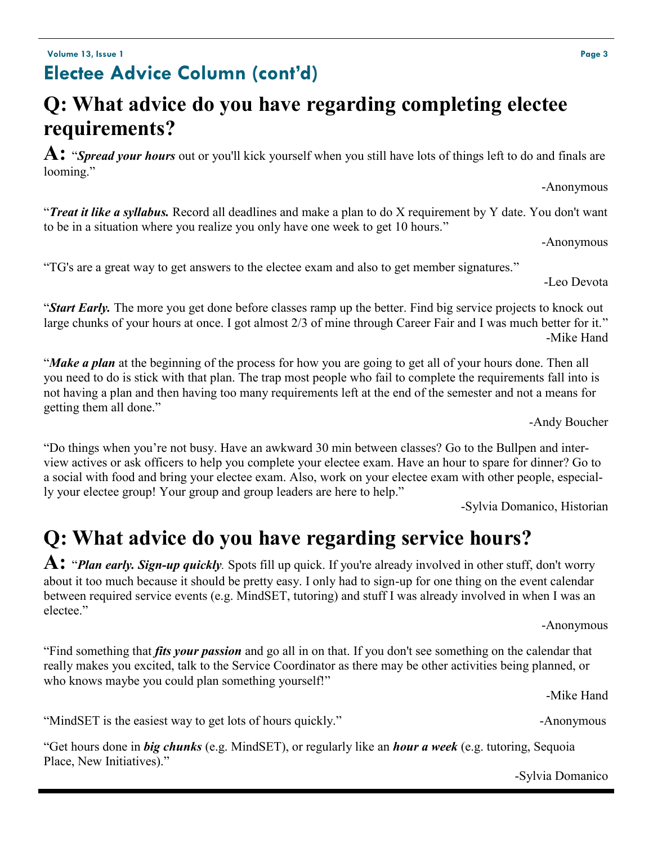### **Volume 13, Issue 1 Page 3 Electee Advice Column (cont'd)**

# **Q: What advice do you have regarding completing electee requirements?**

**A:** "*Spread your hours* out or you'll kick yourself when you still have lots of things left to do and finals are looming."

-Anonymous

"*Treat it like a syllabus.* Record all deadlines and make a plan to do X requirement by Y date. You don't want to be in a situation where you realize you only have one week to get 10 hours."

-Anonymous

-Leo Devota

"TG's are a great way to get answers to the electee exam and also to get member signatures."

"*Start Early.* The more you get done before classes ramp up the better. Find big service projects to knock out large chunks of your hours at once. I got almost 2/3 of mine through Career Fair and I was much better for it." -Mike Hand

"*Make a plan* at the beginning of the process for how you are going to get all of your hours done. Then all you need to do is stick with that plan. The trap most people who fail to complete the requirements fall into is not having a plan and then having too many requirements left at the end of the semester and not a means for getting them all done."

-Andy Boucher

"Do things when you're not busy. Have an awkward 30 min between classes? Go to the Bullpen and interview actives or ask officers to help you complete your electee exam. Have an hour to spare for dinner? Go to a social with food and bring your electee exam. Also, work on your electee exam with other people, especially your electee group! Your group and group leaders are here to help."

-Sylvia Domanico, Historian

# **Q: What advice do you have regarding service hours?**

**A:** "*Plan early. Sign-up quickly.* Spots fill up quick. If you're already involved in other stuff, don't worry about it too much because it should be pretty easy. I only had to sign-up for one thing on the event calendar between required service events (e.g. MindSET, tutoring) and stuff I was already involved in when I was an electee."

-Anonymous

"Find something that *fits your passion* and go all in on that. If you don't see something on the calendar that really makes you excited, talk to the Service Coordinator as there may be other activities being planned, or who knows maybe you could plan something yourself!"

"MindSET is the easiest way to get lots of hours quickly." -Anonymous

"Get hours done in *big chunks* (e.g. MindSET), or regularly like an *hour a week* (e.g. tutoring, Sequoia Place, New Initiatives)."

-Mike Hand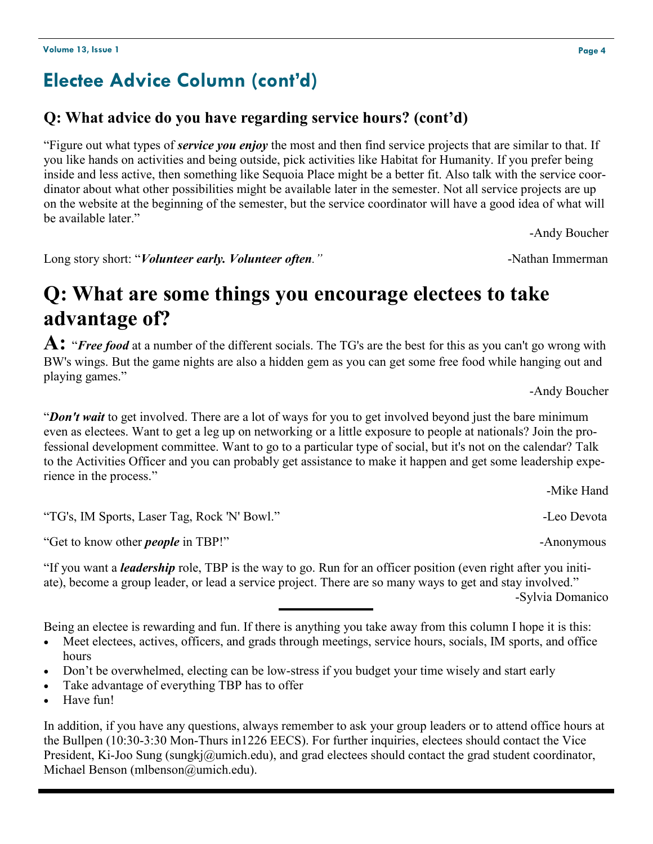### **Electee Advice Column (cont'd)**

### **Q: What advice do you have regarding service hours? (cont'd)**

"Figure out what types of *service you enjoy* the most and then find service projects that are similar to that. If you like hands on activities and being outside, pick activities like Habitat for Humanity. If you prefer being inside and less active, then something like Sequoia Place might be a better fit. Also talk with the service coordinator about what other possibilities might be available later in the semester. Not all service projects are up on the website at the beginning of the semester, but the service coordinator will have a good idea of what will be available later."

-Andy Boucher

Long story short: "*Volunteer early. Volunteer often.*" and a set of the set of the set of the set of the set of the set of the set of the set of the set of the set of the set of the set of the set of the set of the set of

### **Q: What are some things you encourage electees to take advantage of?**

**A:** "*Free food* at a number of the different socials. The TG's are the best for this as you can't go wrong with BW's wings. But the game nights are also a hidden gem as you can get some free food while hanging out and playing games."

-Andy Boucher

"*Don't wait* to get involved. There are a lot of ways for you to get involved beyond just the bare minimum even as electees. Want to get a leg up on networking or a little exposure to people at nationals? Join the professional development committee. Want to go to a particular type of social, but it's not on the calendar? Talk to the Activities Officer and you can probably get assistance to make it happen and get some leadership experience in the process."

"TG's, IM Sports, Laser Tag, Rock 'N' Bowl." -Leo Devota

"Get to know other *people* in TBP!" -Anonymous

"If you want a *leadership* role, TBP is the way to go. Run for an officer position (even right after you initiate), become a group leader, or lead a service project. There are so many ways to get and stay involved." -Sylvia Domanico

Being an electee is rewarding and fun. If there is anything you take away from this column I hope it is this:

 Meet electees, actives, officers, and grads through meetings, service hours, socials, IM sports, and office hours

- Don't be overwhelmed, electing can be low-stress if you budget your time wisely and start early
- Take advantage of everything TBP has to offer
- Have fun!

In addition, if you have any questions, always remember to ask your group leaders or to attend office hours at the Bullpen (10:30-3:30 Mon-Thurs in1226 EECS). For further inquiries, electees should contact the Vice President, Ki-Joo Sung (sungkj@umich.edu), and grad electees should contact the grad student coordinator, Michael Benson (mlbenson@umich.edu).

-Mike Hand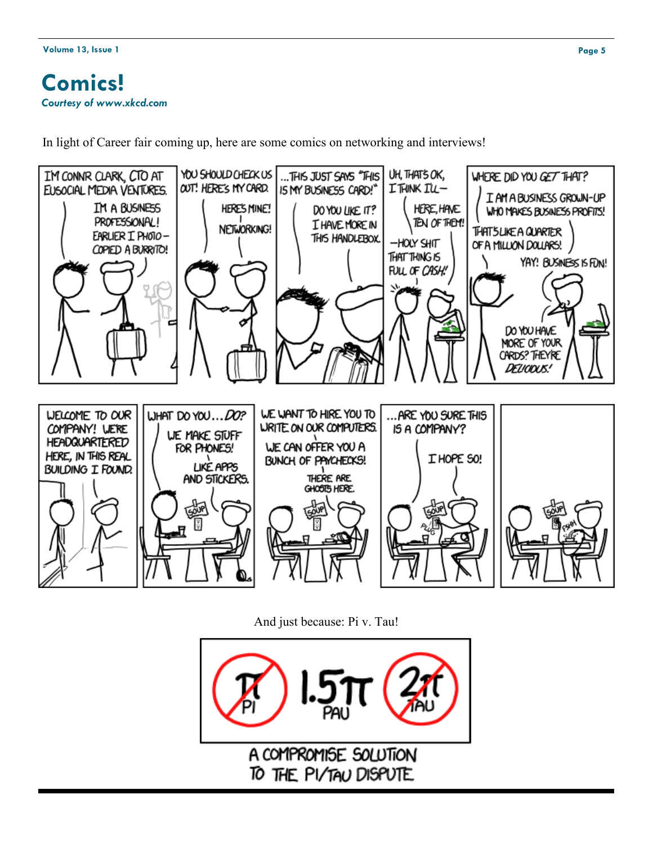### **Comics!** *Courtesy of www.xkcd.com*

In light of Career fair coming up, here are some comics on networking and interviews!



And just because: Pi v. Tau!

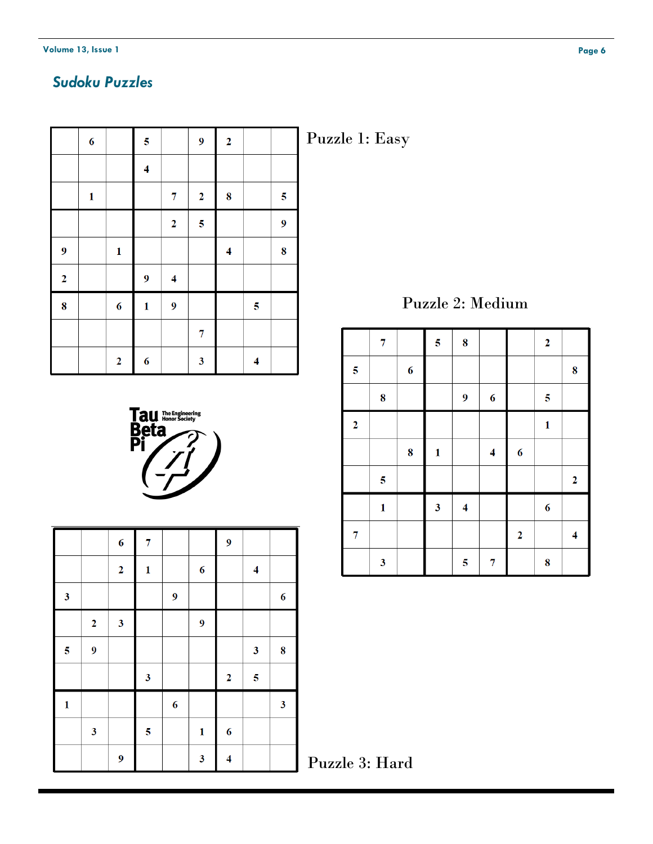### *Sudoku Puzzles*

|                  | $\boldsymbol{6}$ |                | $\overline{\mathbf{5}}$ |                          | $\overline{9}$          | $\overline{2}$          |                  |                         |
|------------------|------------------|----------------|-------------------------|--------------------------|-------------------------|-------------------------|------------------|-------------------------|
|                  |                  |                | $\overline{\bf{4}}$     |                          |                         |                         |                  |                         |
|                  | $\mathbf{1}$     |                |                         | 7                        | $\overline{2}$          | 8                       |                  | $\overline{\mathbf{5}}$ |
|                  |                  |                |                         | $\overline{2}$           | $\overline{5}$          |                         |                  | $\boldsymbol{9}$        |
| $\boldsymbol{9}$ |                  | $\mathbf{1}$   |                         |                          |                         | $\overline{\mathbf{4}}$ |                  | 8                       |
| $\overline{2}$   |                  |                | 9                       | $\overline{\mathcal{L}}$ |                         |                         |                  |                         |
| 8                |                  | 6              | $\mathbf{1}$            | 9                        |                         |                         | $\boldsymbol{5}$ |                         |
|                  |                  |                |                         |                          | 7                       |                         |                  |                         |
|                  |                  | $\overline{2}$ | $\boldsymbol{6}$        |                          | $\overline{\mathbf{3}}$ |                         | 4                |                         |

Puzzle 1: Easy

Puzzle 2: Medium

|                         | 7                       |                  | $\overline{\mathbf{5}}$ | 8                |                |                  | $\boldsymbol{2}$ |                     |
|-------------------------|-------------------------|------------------|-------------------------|------------------|----------------|------------------|------------------|---------------------|
| $\overline{\mathbf{5}}$ |                         | $\boldsymbol{6}$ |                         |                  |                |                  |                  | 8                   |
|                         | $\bf{8}$                |                  |                         | $\boldsymbol{9}$ | 6              |                  | $\boldsymbol{5}$ |                     |
| $\boldsymbol{2}$        |                         |                  |                         |                  |                |                  | $\mathbf 1$      |                     |
|                         |                         | 8                | $\mathbf{1}$            |                  | $\overline{4}$ | $\boldsymbol{6}$ |                  |                     |
|                         | $\overline{\mathbf{5}}$ |                  |                         |                  |                |                  |                  | $\boldsymbol{2}$    |
|                         | $\mathbf{1}$            |                  | $\mathbf{3}$            | 4                |                |                  | $\boldsymbol{6}$ |                     |
| 7                       |                         |                  |                         |                  |                | $\overline{2}$   |                  | $\overline{\bf{4}}$ |
|                         | 3                       |                  |                         | $\boldsymbol{5}$ | 7              |                  | 8                |                     |

| <b>ay</b> The Engineering |
|---------------------------|
|                           |
|                           |
|                           |
|                           |

|                         |                | $\boldsymbol{6}$        | 7                       |                  |                  | $\boldsymbol{9}$    |                     |                  |
|-------------------------|----------------|-------------------------|-------------------------|------------------|------------------|---------------------|---------------------|------------------|
|                         |                | $\overline{\mathbf{2}}$ | $\mathbf{1}$            |                  | $\boldsymbol{6}$ |                     | $\overline{\bf{4}}$ |                  |
| $\mathbf{3}$            |                |                         |                         | $\boldsymbol{9}$ |                  |                     |                     | $\boldsymbol{6}$ |
|                         | $\overline{2}$ | $\mathbf{3}$            |                         |                  | $\boldsymbol{9}$ |                     |                     |                  |
| $\overline{\mathbf{5}}$ | 9              |                         |                         |                  |                  |                     | $\mathbf{3}$        | 8                |
|                         |                |                         | $\overline{\mathbf{3}}$ |                  |                  | $\boldsymbol{2}$    | $\boldsymbol{5}$    |                  |
| $\mathbf{1}$            |                |                         |                         | $\boldsymbol{6}$ |                  |                     |                     | $\mathbf{3}$     |
|                         | $\mathbf{3}$   |                         | $\overline{\mathbf{5}}$ |                  | $\mathbf{1}$     | $\boldsymbol{6}$    |                     |                  |
|                         |                | $\boldsymbol{9}$        |                         |                  | $\mathbf{3}$     | $\overline{\bf{4}}$ |                     |                  |

Puzzle 3: Hard